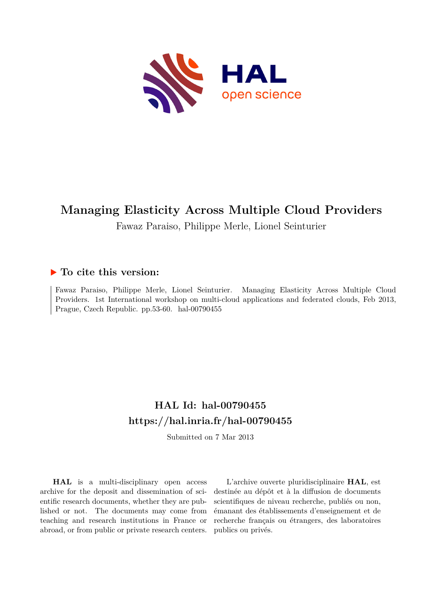

# **Managing Elasticity Across Multiple Cloud Providers**

Fawaz Paraiso, Philippe Merle, Lionel Seinturier

# **To cite this version:**

Fawaz Paraiso, Philippe Merle, Lionel Seinturier. Managing Elasticity Across Multiple Cloud Providers. 1st International workshop on multi-cloud applications and federated clouds, Feb 2013, Prague, Czech Republic. pp.  $53-60$ . hal-00790455

# **HAL Id: hal-00790455 <https://hal.inria.fr/hal-00790455>**

Submitted on 7 Mar 2013

**HAL** is a multi-disciplinary open access archive for the deposit and dissemination of scientific research documents, whether they are published or not. The documents may come from teaching and research institutions in France or abroad, or from public or private research centers.

L'archive ouverte pluridisciplinaire **HAL**, est destinée au dépôt et à la diffusion de documents scientifiques de niveau recherche, publiés ou non, émanant des établissements d'enseignement et de recherche français ou étrangers, des laboratoires publics ou privés.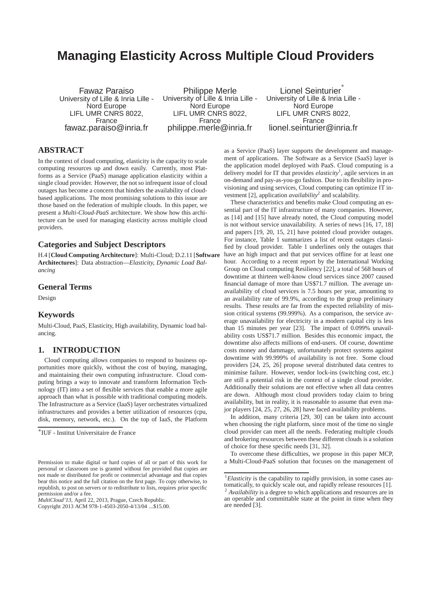# **Managing Elasticity Across Multiple Cloud Providers**

Fawaz Paraiso University of Lille & Inria Lille - Nord Europe LIFL UMR CNRS 8022, France fawaz.paraiso@inria.fr

Philippe Merle University of Lille & Inria Lille - Nord Europe LIFL UMR CNRS 8022, France philippe.merle@inria.fr

Lionel Seinturier ∗ University of Lille & Inria Lille - Nord Europe LIFL UMR CNRS 8022, France lionel.seinturier@inria.fr

# **ABSTRACT**

In the context of cloud computing, elasticity is the capacity to scale computing resources up and down easily. Currently, most Platforms as a Service (PaaS) manage application elasticity within a single cloud provider. However, the not so infrequent issue of cloud outages has become a concern that hinders the availability of cloudbased applications. The most promising solutions to this issue are those based on the federation of multiple clouds. In this paper, we present a *Multi-Cloud-PaaS* architecture. We show how this architecture can be used for managing elasticity across multiple cloud providers.

## **Categories and Subject Descriptors**

H.4 [**Cloud Computing Architecture**]: Multi-Cloud; D.2.11 [**Software Architectures**]: Data abstraction—*Elasticity, Dynamic Load Balancing*

### **General Terms**

Design

## **Keywords**

Multi-Cloud, PaaS, Elasticity, High availability, Dynamic load balancing.

## **1. INTRODUCTION**

Cloud computing allows companies to respond to business opportunities more quickly, without the cost of buying, managing, and maintaining their own computing infrastructure. Cloud computing brings a way to innovate and transform Information Technology (IT) into a set of flexible services that enable a more agile approach than what is possible with traditional computing models. The Infrastructure as a Service (IaaS) layer orchestrates virtualized infrastructures and provides a better utilization of resources (cpu, disk, memory, network, etc.). On the top of IaaS, the Platform

*MultiCloud'13,* April 22, 2013, Prague, Czech Republic.

as a Service (PaaS) layer supports the development and management of applications. The Software as a Service (SaaS) layer is the application model deployed with PaaS. Cloud computing is a delivery model for IT that provides *elasticity*<sup>1</sup> , agile services in an on-demand and pay-as-you-go fashion. Due to its flexibility in provisioning and using services, Cloud computing can optimize IT investment [2], application *availability*<sup>2</sup> and scalability.

These characteristics and benefits make Cloud computing an essential part of the IT infrastructure of many companies. However, as [14] and [15] have already noted, the Cloud computing model is not without service unavailability. A series of news [16, 17, 18] and papers [19, 20, 15, 21] have pointed cloud provider outages. For instance, Table 1 summarizes a list of recent outages classified by cloud provider. Table 1 underlines only the outages that have an high impact and that put services offline for at least one hour. According to a recent report by the International Working Group on Cloud computing Resiliency [22], a total of 568 hours of downtime at thirteen well-know cloud services since 2007 caused financial damage of more than US\$71.7 million. The average unavailability of cloud services is 7.5 hours per year, amounting to an availability rate of 99.9%, according to the group preliminary results. These results are far from the expected reliability of mission critical systems (99.999%). As a comparison, the service average unavailability for electricity in a modern capital city is less than 15 minutes per year [23]. The impact of 0.099% unavailability costs US\$71.7 million. Besides this economic impact, the downtime also affects millions of end-users. Of course, downtime costs money and dammage, unfortunately protect systems against downtime with 99.999% of availability is not free. Some cloud providers [24, 25, 26] propose several distributed data centres to minimise failure. However, vendor lock-ins (switching cost, etc.) are still a potential risk in the context of a single cloud provider. Additionally their solutions are not effective when all data centres are down. Although most cloud providers today claim to bring availability, but in reality, it is reasonable to assume that even major players [24, 25, 27, 26, 28] have faced availability problems.

In addition, many criteria [29, 30] can be taken into account when choosing the right platform, since most of the time no single cloud provider can meet all the needs. Federating multiple clouds and brokering resources between these different clouds is a solution of choice for these specific needs [31, 32].

To overcome these difficulties, we propose in this paper MCP, a Multi-Cloud-PaaS solution that focuses on the management of

<sup>∗</sup> IUF - Institut Universitaire de France

Permission to make digital or hard copies of all or part of this work for personal or classroom use is granted without fee provided that copies are not made or distributed for profit or commercial advantage and that copies bear this notice and the full citation on the first page. To copy otherwise, to republish, to post on servers or to redistribute to lists, requires prior specific permission and/or a fee.

Copyright 2013 ACM 978-1-4503-2050-4/13/04 ...\$15.00.

<sup>&</sup>lt;sup>1</sup>*Elasticity* is the capability to rapidly provision, in some cases automatically, to quickly scale out, and rapidly release resources [1]. <sup>2</sup> *Availability* is a degree to which applications and resources are in an operable and committable state at the point in time when they are needed [3].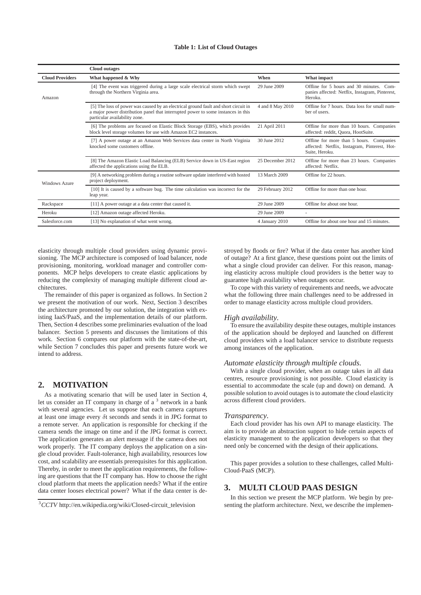#### **Table 1: List of Cloud Outages**

|                        | <b>Cloud outages</b>                                                                                                                                                                                      |                  |                                                                                                             |
|------------------------|-----------------------------------------------------------------------------------------------------------------------------------------------------------------------------------------------------------|------------------|-------------------------------------------------------------------------------------------------------------|
| <b>Cloud Providers</b> | What happened & Why                                                                                                                                                                                       | When             | What impact                                                                                                 |
| Amazon                 | [4] The event was triggered during a large scale electrical storm which swept<br>through the Northern Virginia area.                                                                                      | 29 June 2009     | Offline for 5 hours and 30 minutes.<br>$Com-$<br>panies affected: Netflix, Instagram, Pinterest,<br>Heroku. |
|                        | [5] The loss of power was caused by an electrical ground fault and short circuit in<br>a major power distribution panel that interrupted power to some instances in this<br>particular availability zone. | 4 and 8 May 2010 | Offline for 7 hours. Data loss for small num-<br>ber of users.                                              |
|                        | [6] The problems are focused on Elastic Block Storage (EBS), which provides<br>block level storage volumes for use with Amazon EC2 instances.                                                             | 21 April 2011    | Offline for more than 10 hours. Companies<br>affected: reddit, Quora, HootSuite.                            |
|                        | [7] A power outage at an Amazon Web Services data center in North Virginia<br>knocked some customers offline.                                                                                             | 30 June 2012     | Offline for more than 5 hours. Companies<br>affected: Netflix, Instagram, Pinterest, Hot-<br>Suite, Heroku. |
|                        | [8] The Amazon Elastic Load Balancing (ELB) Service down in US-East region<br>affected the applications using the ELB.                                                                                    | 25 December 2012 | Offline for more than 23 hours. Companies<br>affected: Netflix.                                             |
| Windows Azure          | [9] A networking problem during a routine software update interfered with hosted<br>project deployment.                                                                                                   | 13 March 2009    | Offline for 22 hours.                                                                                       |
|                        | [10] It is caused by a software bug. The time calculation was incorrect for the<br>leap year.                                                                                                             | 29 February 2012 | Offline for more than one hour.                                                                             |
| Rackspace              | [11] A power outage at a data center that caused it.                                                                                                                                                      | 29 June 2009     | Offline for about one hour.                                                                                 |
| Heroku                 | [12] Amazon outage affected Heroku.                                                                                                                                                                       | 29 June 2009     |                                                                                                             |
| Salesforce.com         | [13] No explanation of what went wrong.                                                                                                                                                                   | 4 January 2010   | Offline for about one hour and 15 minutes.                                                                  |

elasticity through multiple cloud providers using dynamic provisioning. The MCP architecture is composed of load balancer, node provisioning, monitoring, workload manager and controller components. MCP helps developers to create elastic applications by reducing the complexity of managing multiple different cloud architectures.

The remainder of this paper is organized as follows. In Section 2 we present the motivation of our work. Next, Section 3 describes the architecture promoted by our solution, the integration with existing IaaS/PaaS, and the implementation details of our platform. Then, Section 4 describes some preliminaries evaluation of the load balancer. Section 5 presents and discusses the limitations of this work. Section 6 compares our platform with the state-of-the-art, while Section 7 concludes this paper and presents future work we intend to address.

## **2. MOTIVATION**

As a motivating scenario that will be used later in Section 4, let us consider an IT company in charge of a  $3$  network in a bank with several agencies. Let us suppose that each camera captures at least one image every  $\delta t$  seconds and sends it in JPG format to a remote server. An application is responsible for checking if the camera sends the image on time and if the JPG format is correct. The application generates an alert message if the camera does not work properly. The IT company deploys the application on a single cloud provider. Fault-tolerance, high availability, resources low cost, and scalability are essentials prerequisites for this application. Thereby, in order to meet the application requirements, the following are questions that the IT company has. How to choose the right cloud platform that meets the application needs? What if the entire data center looses electrical power? What if the data center is de-

stroyed by floods or fire? What if the data center has another kind of outage? At a first glance, these questions point out the limits of what a single cloud provider can deliver. For this reason, managing elasticity across multiple cloud providers is the better way to guarantee high availability when outages occur.

To cope with this variety of requirements and needs, we advocate what the following three main challenges need to be addressed in order to manage elasticity across multiple cloud providers.

#### *High availability.*

To ensure the availability despite these outages, multiple instances of the application should be deployed and launched on different cloud providers with a load balancer service to distribute requests among instances of the application.

#### *Automate elasticity through multiple clouds.*

With a single cloud provider, when an outage takes in all data centres, resource provisioning is not possible. Cloud elasticity is essential to accommodate the scale (up and down) on demand. A possible solution to avoid outages is to automate the cloud elasticity across different cloud providers.

#### *Transparency.*

Each cloud provider has his own API to manage elasticity. The aim is to provide an abstraction support to hide certain aspects of elasticity management to the application developers so that they need only be concerned with the design of their applications.

This paper provides a solution to these challenges, called Multi-Cloud-PaaS (MCP).

#### **3. MULTI CLOUD PAAS DESIGN**

In this section we present the MCP platform. We begin by presenting the platform architecture. Next, we describe the implemen-

<sup>&</sup>lt;sup>3</sup>CCTV http://en.wikipedia.org/wiki/Closed-circuit\_television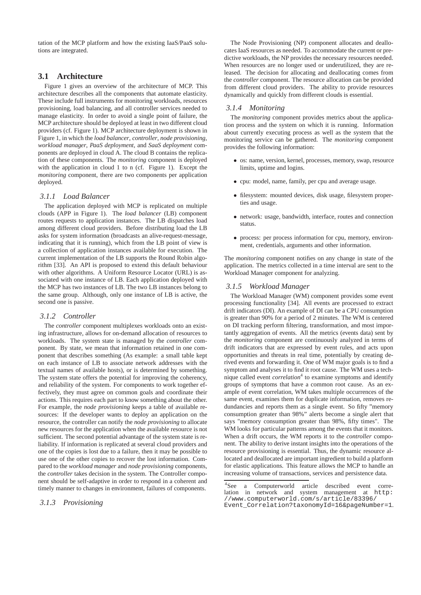tation of the MCP platform and how the existing IaaS/PaaS solutions are integrated.

## **3.1 Architecture**

Figure 1 gives an overview of the architecture of MCP. This architecture describes all the components that automate elasticity. These include full instruments for monitoring workloads, resources provisioning, load balancing, and all controller services needed to manage elasticity. In order to avoid a single point of failure, the MCP architecture should be deployed at least in two different cloud providers (cf. Figure 1). MCP architecture deployment is shown in Figure 1, in which the *load balancer*, *controller*, *node provisioning*, *workload manager*, *PaaS deployment*, and *SaaS deployment* components are deployed in cloud A. The cloud B contains the replication of these components. The *monitoring* component is deployed with the application in cloud 1 to n (cf. Figure 1). Except the *monitoring* component, there are two components per application deployed.

#### *3.1.1 Load Balancer*

The application deployed with MCP is replicated on multiple clouds (APP in Figure 1). The *load balancer* (LB) component routes requests to application instances. The LB dispatches load among different cloud providers. Before distributing load the LB asks for system information (broadcasts an alive-request-message, indicating that it is running), which from the LB point of view is a collection of application instances available for execution. The current implementation of the LB supports the Round Robin algorithm [33]. An API is proposed to extend this default behaviour with other algorithms. A Uniform Resource Locator (URL) is associated with one instance of LB. Each application deployed with the MCP has two instances of LB. The two LB instances belong to the same group. Although, only one instance of LB is active, the second one is passive.

#### *3.1.2 Controller*

The *controller* component multiplexes workloads onto an existing infrastructure, allows for on-demand allocation of resources to workloads. The system state is managed by the *controller* component. By state, we mean that information retained in one component that describes something (As example: a small table kept on each instance of LB to associate network addresses with the textual names of available hosts), or is determined by something. The system state offers the potential for improving the coherency, and reliability of the system. For components to work together effectively, they must agree on common goals and coordinate their actions. This requires each part to know something about the other. For example, the *node provisioning* keeps a table of available resources: If the developer wants to deploy an application on the resource, the controller can notify the *node provisioning* to allocate new resources for the application when the available resource is not sufficient. The second potential advantage of the system state is reliability. If information is replicated at several cloud providers and one of the copies is lost due to a failure, then it may be possible to use one of the other copies to recover the lost information. Compared to the *workload manager* and *node provisioning* components, the *controller* takes decision in the system. The Controller component should be self-adaptive in order to respond in a coherent and timely manner to changes in environment, failures of components.

The Node Provisioning (NP) component allocates and deallocates IaaS resources as needed. To accommodate the current or predictive workloads, the NP provides the necessary resources needed. When resources are no longer used or underutilized, they are released. The decision for allocating and deallocating comes from the *controller* component. The resource allocation can be provided from different cloud providers. The ability to provide resources dynamically and quickly from different clouds is essential.

## *3.1.4 Monitoring*

The *monitoring* component provides metrics about the application process and the system on which it is running. Information about currently executing process as well as the system that the monitoring service can be gathered. The *monitoring* component provides the following information:

- os: name, version, kernel, processes, memory, swap, resource limits, uptime and logins.
- cpu: model, name, family, per cpu and average usage.
- filesystem: mounted devices, disk usage, filesystem properties and usage.
- network: usage, bandwidth, interface, routes and connection status.
- process: per process information for cpu, memory, environment, credentials, arguments and other information.

The *monitoring* component notifies on any change in state of the application. The metrics collected in a time interval are sent to the Workload Manager component for analyzing.

#### *3.1.5 Workload Manager*

The Workload Manager (WM) component provides some event processing functionality [34]. All events are processed to extract drift indicators (DI). An example of DI can be a CPU consumption is greater than 90% for a period of 2 minutes. The WM is centered on DI tracking perform filtering, transformation, and most importantly aggregation of events. All the metrics (events data) sent by the *monitoring* component are continuously analyzed in terms of drift indicators that are expressed by event rules, and acts upon opportunities and threats in real time, potentially by creating derived events and forwarding it. One of WM major goals is to find a symptom and analyses it to find it root cause. The WM uses a technique called event *correlation*<sup>4</sup> to examine symptoms and identify groups of symptoms that have a common root cause. As an example of event correlation, WM takes multiple occurrences of the same event, examines them for duplicate information, removes redundancies and reports them as a single event. So fifty "memory consumption greater than 98%" alerts become a single alert that says "memory consumption greater than 98%, fifty times". The WM looks for particular patterns among the events that it monitors. When a drift occurs, the WM reports it to the *controller* component. The ability to derive instant insights into the operations of the resource provisioning is essential. Thus, the dynamic resource allocated and deallocated are important ingredient to build a platform for elastic applications. This feature allows the MCP to handle an increasing volume of transactions, services and persistence data.

<sup>4</sup>See a Computerworld article described event correlation in network and system management at http: //www.computerworld.com/s/article/83396/ Event\_Correlation?taxonomyId=16&pageNumber=1.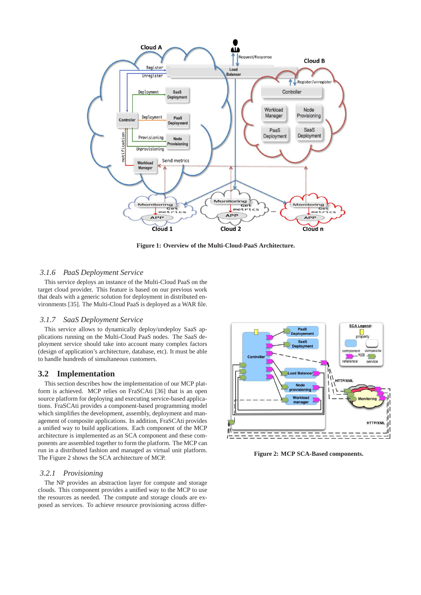

**Figure 1: Overview of the Multi-Cloud-PaaS Architecture.**

#### *3.1.6 PaaS Deployment Service*

This service deploys an instance of the Multi-Cloud PaaS on the target cloud provider. This feature is based on our previous work that deals with a generic solution for deployment in distributed environments [35]. The Multi-Cloud PaaS is deployed as a WAR file.

#### *3.1.7 SaaS Deployment Service*

This service allows to dynamically deploy/undeploy SaaS applications running on the Multi-Cloud PaaS nodes. The SaaS deployment service should take into account many complex factors (design of application's architecture, database, etc). It must be able to handle hundreds of simultaneous customers.

## **3.2 Implementation**

This section describes how the implementation of our MCP platform is achieved. MCP relies on FraSCAti [36] that is an open source platform for deploying and executing service-based applications. FraSCAti provides a component-based programming model which simplifies the development, assembly, deployment and management of composite applications. In addition, FraSCAti provides a unified way to build applications. Each component of the MCP architecture is implemented as an SCA component and these components are assembled together to form the platform. The MCP can run in a distributed fashion and managed as virtual unit platform. The Figure 2 shows the SCA architecture of MCP.

#### *3.2.1 Provisioning*

The NP provides an abstraction layer for compute and storage clouds. This component provides a unified way to the MCP to use the resources as needed. The compute and storage clouds are exposed as services. To achieve resource provisioning across differ-



**Figure 2: MCP SCA-Based components.**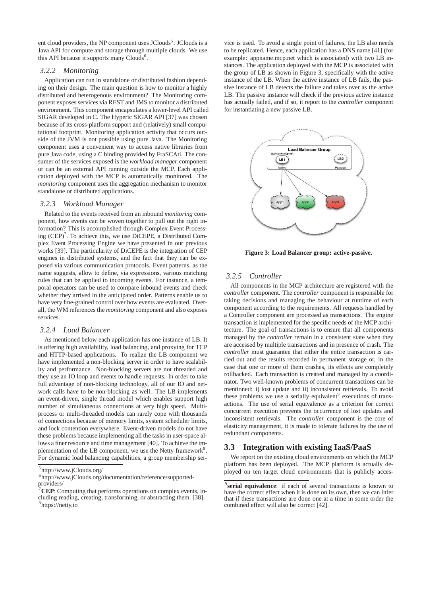ent cloud providers, the NP component uses JClouds<sup>5</sup>. JClouds is a Java API for compute and storage through multiple clouds. We use this API because it supports many Clouds<sup>6</sup>.

#### *3.2.2 Monitoring*

Application can run in standalone or distributed fashion depending on their design. The main question is how to monitor a highly distributed and heterogenous environment? The Monitoring component exposes services via REST and JMS to monitor a distributed environment. This component encapsulates a lower-level API called SIGAR developed in C. The Hyperic SIGAR API [37] was chosen because of its cross-platform support and (relatively) small computational footprint. Monitoring application activity that occurs outside of the JVM is not possible using pure Java. The Monitoring component uses a convenient way to access native libraries from pure Java code, using a C binding provided by FraSCAti. The consumer of the services exposed is the *workload manager* component or can be an external API running outside the MCP. Each application deployed with the MCP is automatically monitored. The *monitoring* component uses the aggregation mechanism to monitor standalone or distributed applications.

## *3.2.3 Workload Manager*

Related to the events received from an inbound *monitoring* component, how events can be woven together to pull out the right information? This is accomplished through Complex Event Processing  $(CEP)^7$ . To achieve this, we use DiCEPE, a Distributed Complex Event Processing Engine we have presented in our previous works [39]. The particularity of DiCEPE is the integration of CEP engines in distributed systems, and the fact that they can be exposed via various communication protocols. Event patterns, as the name suggests, allow to define, via expressions, various matching rules that can be applied to incoming events. For instance, a temporal operators can be used to compare inbound events and check whether they arrived in the anticipated order. Patterns enable us to have very fine-grained control over how events are evaluated. Overall, the WM references the *monitoring* component and also exposes services.

#### *3.2.4 Load Balancer*

As mentioned below each application has one instance of LB. It is offering high availability, load balancing, and proxying for TCP and HTTP-based applications. To realize the LB component we have implemented a non-blocking server in order to have scalability and performance. Non-blocking servers are not threaded and they use an IO loop and events to handle requests. In order to take full advantage of non-blocking technology, all of our IO and network calls have to be non-blocking as well. The LB implements an event-driven, single thread model which enables support high number of simultaneous connections at very high speed. Multiprocess or multi-threaded models can rarely cope with thousands of connections because of memory limits, system scheduler limits, and lock contention everywhere. Event-driven models do not have these problems because implementing all the tasks in user-space allows a finer resource and time management [40]. To achieve the implementation of the LB component, we use the Netty framework<sup>8</sup>. For dynamic load balancing capabilities, a group membership ser-

vice is used. To avoid a single point of failures, the LB also needs to be replicated. Hence, each application has a DNS name [41] (for example: appname.mcp.net which is associated) with two LB instances. The application deployed with the MCP is associated with the group of LB as shown in Figure 3, specifically with the active instance of the LB. When the active instance of LB fails, the passive instance of LB detects the failure and takes over as the active LB. The passive instance will check if the previous active instance has actually failed, and if so, it report to the *controller* component for instantiating a new passive LB.



**Figure 3: Load Balancer group: active-passive.**

#### *3.2.5 Controller*

All components in the MCP architecture are registered with the *controller* component. The *controller* component is responsible for taking decisions and managing the behaviour at runtime of each component according to the requirements. All requests handled by a Controller component are processed as transactions. The engine transaction is implemented for the specific needs of the MCP architecture. The goal of transactions is to ensure that all components managed by the *controller* remain in a consistent state when they are accessed by multiple transactions and in presence of crash. The *controller* must guarantee that either the entire transaction is carried out and the results recorded in permanent storage or, in the case that one or more of them crashes, its effects are completely rollbacked. Each transaction is created and managed by a coordinator. Two well-known problems of concurrent transactions can be mentioned: i) lost update and ii) inconsistent retrievals. To avoid these problems we use a serially equivalent<sup>9</sup> executions of transactions. The use of serial equivalence as a criterion for correct concurrent execution prevents the occurrence of lost updates and inconsistent retrievals. The *controller* component is the core of elasticity management, it is made to tolerate failures by the use of redundant components.

#### **3.3 Integration with existing IaaS/PaaS**

We report on the existing cloud environments on which the MCP platform has been deployed. The MCP platform is actually deployed on ten target cloud environments that is publicly acces-

<sup>5</sup> http://www.jClouds.org/

<sup>6</sup> http://www.jClouds.org/documentation/reference/supportedproviders/

<sup>7</sup>**CEP**: Computing that performs operations on complex events, including reading, creating, transforming, or abstracting them. [38] 8 https://netty.io

<sup>9</sup> **serial equivalence**: if each of several transactions is known to have the correct effect when it is done on its own, then we can infer that if these transactions are done one at a time in some order the combined effect will also be correct [42].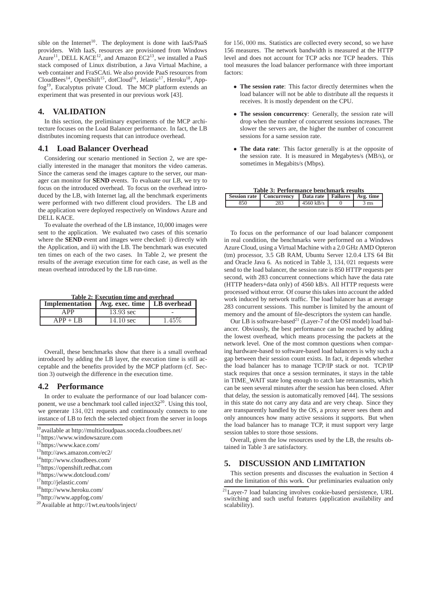sible on the Internet<sup>10</sup>. The deployment is done with IaaS/PaaS providers. With IaaS, resources are provisioned from Windows  $A$ zure<sup>11</sup>, DELL KACE<sup>12</sup>, and Amazon EC2<sup>13</sup>, we installed a PaaS stack composed of Linux distribution, a Java Virtual Machine, a web container and FraSCAti. We also provide PaaS resources from CloudBees<sup>14</sup>, OpenShift<sup>15</sup>, dotCloud<sup>16</sup>, Jelastic<sup>17</sup>, Heroku<sup>18</sup>, Appfog<sup>19</sup>, Eucalyptus private Cloud. The MCP platform extends an experiment that was presented in our previous work [43].

## **4. VALIDATION**

In this section, the preliminary experiments of the MCP architecture focuses on the Load Balancer performance. In fact, the LB distributes incoming requests that can introduce overhead.

## **4.1 Load Balancer Overhead**

Considering our scenario mentioned in Section 2, we are specially interested in the manager that monitors the video cameras. Since the cameras send the images capture to the server, our manager can monitor for **SEND** events. To evaluate our LB, we try to focus on the introduced overhead. To focus on the overhead introduced by the LB, with Internet lag, all the benchmark experiments were performed with two different cloud providers. The LB and the application were deployed respectively on Windows Azure and DELL KACE.

To evaluate the overhead of the LB instance, 10,000 images were sent to the application. We evaluated two cases of this scenario where the **SEND** event and images were checked: i) directly with the Application, and ii) with the LB. The benchmark was executed ten times on each of the two cases. In Table 2, we present the results of the average execution time for each case, as well as the mean overhead introduced by the LB run-time.

| Table 2: Execution time and overhead           |                     |        |  |  |  |  |  |
|------------------------------------------------|---------------------|--------|--|--|--|--|--|
| Implementation   Avg. exec. time   LB overhead |                     |        |  |  |  |  |  |
| APP                                            | $13.93$ sec         |        |  |  |  |  |  |
| $APP + LR$                                     | $14.10 \text{ sec}$ | 1.45\% |  |  |  |  |  |

Overall, these benchmarks show that there is a small overhead introduced by adding the LB layer, the execution time is still acceptable and the benefits provided by the MCP platform (cf. Section 3) outweigh the difference in the execution time.

## **4.2 Performance**

In order to evaluate the performance of our load balancer component, we use a benchmark tool called inject  $32^{20}$ . Using this tool, we generate 134, 021 requests and continuously connects to one instance of LB to fetch the selected object from the server in loops

- <sup>16</sup>https://www.dotcloud.com/
- <sup>17</sup>http://jelastic.com/
- <sup>18</sup>http://www.heroku.com/
- <sup>19</sup>http://www.appfog.com/
- <sup>20</sup>Available at http://1wt.eu/tools/inject/

for 156, 000 ms. Statistics are collected every second, so we have 156 measures. The network bandwidth is measured at the HTTP level and does not account for TCP acks nor TCP headers. This tool measures the load balancer performance with three important factors:

- **The session rate**: This factor directly determines when the load balancer will not be able to distribute all the requests it receives. It is mostly dependent on the CPU.
- **The session concurrency**: Generally, the session rate will drop when the number of concurrent sessions increases. The slower the servers are, the higher the number of concurrent sessions for a same session rate.
- **The data rate**: This factor generally is at the opposite of the session rate. It is measured in Megabytes/s (MB/s), or sometimes in Megabits/s (Mbps).

| <b>Table 3: Performance benchmark results</b> |                                                               |             |  |                |  |  |  |  |
|-----------------------------------------------|---------------------------------------------------------------|-------------|--|----------------|--|--|--|--|
|                                               | Session rate   Concurrency   Data rate   Failures   Avg. time |             |  |                |  |  |  |  |
| 850                                           | 283                                                           | $4560$ kB/s |  | $3 \text{ ms}$ |  |  |  |  |

To focus on the performance of our load balancer component in real condition, the benchmarks were performed on a Windows Azure Cloud, using a Virtual Machine with a 2.0 GHz AMD Opteron (tm) processor, 3.5 GB RAM, Ubuntu Server 12.0.4 LTS 64 Bit and Oracle Java 6. As noticed in Table 3, 134, 021 requests were send to the load balancer, the session rate is 850 HTTP requests per second, with 283 concurrent connections which have the data rate (HTTP headers+data only) of 4560 kB/s. All HTTP requests were processed without error. Of course this takes into account the added work induced by network traffic. The load balancer has at average 283 concurrent sessions. This number is limited by the amount of memory and the amount of file-descriptors the system can handle.

Our LB is software-based<sup>21</sup> (Layer-7 of the OSI model) load balancer. Obviously, the best performance can be reached by adding the lowest overhead, which means processing the packets at the network level. One of the most common questions when comparing hardware-based to software-based load balancers is why such a gap between their session count exists. In fact, it depends whether the load balancer has to manage TCP/IP stack or not. TCP/IP stack requires that once a session terminates, it stays in the table in TIME\_WAIT state long enough to catch late retransmits, which can be seen several minutes after the session has been closed. After that delay, the session is automatically removed [44]. The sessions in this state do not carry any data and are very cheap. Since they are transparently handled by the OS, a proxy never sees them and only announces how many active sessions it supports. But when the load balancer has to manage TCP, it must support very large session tables to store those sessions.

Overall, given the low resources used by the LB, the results obtained in Table 3 are satisfactory.

## **5. DISCUSSION AND LIMITATION**

This section presents and discusses the evaluation in Section 4 and the limitation of this work. Our preliminaries evaluation only

 $\frac{10}{10}$ available at http://multicloudpaas.soceda.cloudbees.net/

<sup>11</sup>https://www.windowsazure.com

<sup>12</sup>https://www.kace.com/

<sup>13</sup>http://aws.amazon.com/ec2/

<sup>14</sup>http://www.cloudbees.com/

<sup>15</sup>https://openshift.redhat.com

 $^{21}$ Laver-7 load balancing involves cookie-based persistence, URL switching and such useful features (application availability and scalability).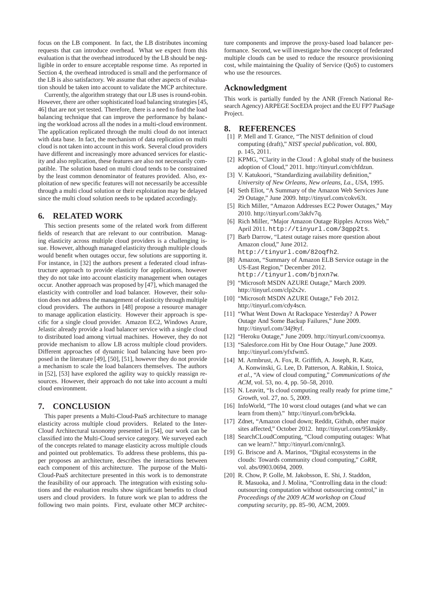focus on the LB component. In fact, the LB distributes incoming requests that can introduce overhead. What we expect from this evaluation is that the overhead introduced by the LB should be negligible in order to ensure acceptable response time. As reported in Section 4, the overhead introduced is small and the performance of the LB is also satisfactory. We assume that other aspects of evaluation should be taken into account to validate the MCP architecture.

Currently, the algorithm strategy that our LB uses is round-robin. However, there are other sophisticated load balancing strategies [45, 46] that are not yet tested. Therefore, there is a need to find the load balancing technique that can improve the performance by balancing the workload across all the nodes in a multi-cloud environment. The application replicated through the multi cloud do not interact with data base. In fact, the mechanism of data replication on multi cloud is not taken into account in this work. Several cloud providers have different and increasingly more advanced services for elasticity and also replication, these features are also not necessarily compatible. The solution based on multi cloud tends to be constrained by the least common denominator of features provided. Also, exploitation of new specific features will not necessarily be accessible through a multi cloud solution or their exploitation may be delayed since the multi cloud solution needs to be updated accordingly.

### **6. RELATED WORK**

This section presents some of the related work from different fields of research that are relevant to our contribution. Managing elasticity across multiple cloud providers is a challenging issue. However, although managed elasticity through multiple clouds would benefit when outages occur, few solutions are supporting it. For instance, in [32] the authors present a federated cloud infrastructure approach to provide elasticity for applications, however they do not take into account elasticity management when outages occur. Another approach was proposed by [47], which managed the elasticity with controller and load balancer. However, their solution does not address the management of elasticity through multiple cloud providers. The authors in [48] propose a resource manager to manage application elasticity. However their approach is specific for a single cloud provider. Amazon EC2, Windows Azure, Jelastic already provide a load balancer service with a single cloud to distributed load among virtual machines. However, they do not provide mechanism to allow LB across multiple cloud providers. Different approaches of dynamic load balancing have been proposed in the literature [49], [50], [51], however they do not provide a mechanism to scale the load balancers themselves. The authors in [52], [53] have explored the agility way to quickly reassign resources. However, their approach do not take into account a multi cloud environment.

## **7. CONCLUSION**

This paper presents a Multi-Cloud-PaaS architecture to manage elasticity across multiple cloud providers. Related to the Inter-Cloud Architectural taxonomy presented in [54], our work can be classified into the Multi-Cloud service category. We surveyed each of the concepts related to manage elasticity across multiple clouds and pointed out problematics. To address these problems, this paper proposes an architecture, describes the interactions between each component of this architecture. The purpose of the Multi-Cloud-PaaS architecture presented in this work is to demonstrate the feasibility of our approach. The integration with existing solutions and the evaluation results show significant benefits to cloud users and cloud providers. In future work we plan to address the following two main points. First, evaluate other MCP architec-

ture components and improve the proxy-based load balancer performance. Second, we will investigate how the concept of federated multiple clouds can be used to reduce the resource provisioning cost, while maintaining the Quality of Service (QoS) to customers who use the resources.

## **Acknowledgment**

This work is partially funded by the ANR (French National Research Agency) ARPEGE SocEDA project and the EU FP7 PaaSage Project.

### **8. REFERENCES**

- [1] P. Mell and T. Grance, "The NIST definition of cloud computing (draft)," *NIST special publication*, vol. 800, p. 145, 2011.
- [2] KPMG, "Clarity in the Cloud : A global study of the business adoption of Cloud," 2011. http://tinyurl.com/chfdzun.
- [3] V. Katukoori, "Standardizing availability definition," *University of New Orleans, New orleans, La., USA*, 1995.
- [4] Seth Eliot, "A Summary of the Amazon Web Services June 29 Outage," June 2009. http://tinyurl.com/cokv63t.
- [5] Rich Miller, "Amazon Addresses EC2 Power Outages," May 2010. http://tinyurl.com/3akfv7q.
- [6] Rich Miller, "Major Amazon Outage Ripples Across Web," April 2011. http://tinyurl.com/3qpp2ts.
- [7] Barb Darrow, "Latest outage raises more question about Amazon cloud," June 2012. http://tinyurl.com/82oqfh2.
- [8] Amazon, "Summary of Amazon ELB Service outage in the US-East Region," December 2012. http://tinyurl.com/bjnxn7w.
- [9] "Microsoft MSDN AZURE Outage," March 2009. http://tinyurl.com/clp2x2v.
- [10] "Microsoft MSDN AZURE Outage," Feb 2012. http://tinyurl.com/cdy4scn.
- [11] "What Went Down At Rackspace Yesterday? A Power Outage And Some Backup Failures," June 2009. http://tinyurl.com/34j9tyf.
- [12] "Heroku Outage," June 2009. http://tinyurl.com/cxoomya.
- [13] "Salesforce.com Hit by One Hour Outage," June 2009. http://tinyurl.com/yfxfwm5.
- [14] M. Armbrust, A. Fox, R. Griffith, A. Joseph, R. Katz, A. Konwinski, G. Lee, D. Patterson, A. Rabkin, I. Stoica, *et al.*, "A view of cloud computing," *Communications of the ACM*, vol. 53, no. 4, pp. 50–58, 2010.
- [15] N. Leavitt, "Is cloud computing really ready for prime time," *Growth*, vol. 27, no. 5, 2009.
- [16] InfoWorld, "The 10 worst cloud outages (and what we can learn from them)." http://tinyurl.com/br9ck4a.
- [17] Zdnet, "Amazon cloud down; Reddit, Github, other major sites affected," October 2012. http://tinyurl.com/95kmk8y.
- [18] SearchCLoudComputing, "Cloud computing outages: What can we learn?." http://tinyurl.com/cnnlrg3.
- [19] G. Briscoe and A. Marinos, "Digital ecosystems in the clouds: Towards community cloud computing," *CoRR*, vol. abs/0903.0694, 2009.
- [20] R. Chow, P. Golle, M. Jakobsson, E. Shi, J. Staddon, R. Masuoka, and J. Molina, "Controlling data in the cloud: outsourcing computation without outsourcing control," in *Proceedings of the 2009 ACM workshop on Cloud computing security*, pp. 85–90, ACM, 2009.